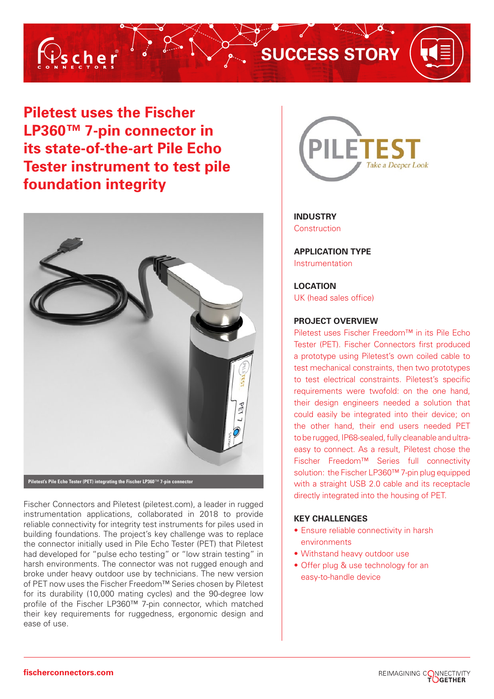

# **SUCCESS STORY**

 $\bullet$ .

**Piletest uses the Fischer LP360™ 7-pin connector in its state-of-the-art Pile Echo Tester instrument to test pile foundation integrity**



**Piletest's Pile Echo Tester (PET) integrating the Fischer LP360**™ **7-pin connector**

Fischer Connectors and Piletest (piletest.com), a leader in rugged instrumentation applications, collaborated in 2018 to provide reliable connectivity for integrity test instruments for piles used in building foundations. The project's key challenge was to replace the connector initially used in Pile Echo Tester (PET) that Piletest had developed for "pulse echo testing" or "low strain testing" in harsh environments. The connector was not rugged enough and broke under heavy outdoor use by technicians. The new version of PET now uses the Fischer Freedom™ Series chosen by Piletest for its durability (10,000 mating cycles) and the 90-degree low profile of the Fischer LP360™ 7-pin connector, which matched their key requirements for ruggedness, ergonomic design and ease of use.



# **INDUSTRY**  Construction

**APPLICATION TYPE** Instrumentation

# **LOCATION**

UK (head sales office)

# **PROJECT OVERVIEW**

Piletest uses Fischer Freedom™ in its Pile Echo Tester (PET). Fischer Connectors first produced a prototype using Piletest's own coiled cable to test mechanical constraints, then two prototypes to test electrical constraints. Piletest's specific requirements were twofold: on the one hand, their design engineers needed a solution that could easily be integrated into their device; on the other hand, their end users needed PET to be rugged, IP68-sealed, fully cleanable and ultraeasy to connect. As a result, Piletest chose the Fischer Freedom™ Series full connectivity solution: the Fischer LP360™ 7-pin plug equipped with a straight USB 2.0 cable and its receptacle directly integrated into the housing of PET.

# **KEY CHALLENGES**

- Ensure reliable connectivity in harsh environments
- Withstand heavy outdoor use
- Offer plug & use technology for an easy-to-handle device